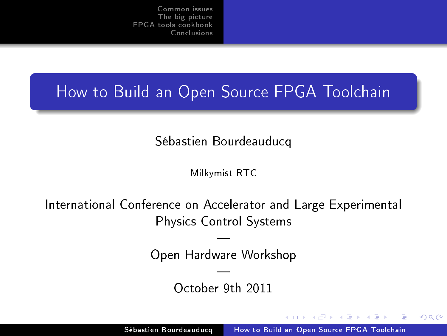# How to Build an Open Source FPGA Toolchain

Sébastien Bourdeauducq

Milkymist RTC

International Conference on Accelerator and Large Experimental Physics Control Systems

> — Open Hardware Workshop

> > — October 9th 2011

 $-10<sup>-10</sup>$ 

<span id="page-0-0"></span>つくい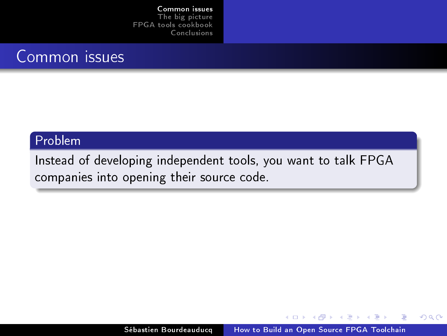## Common issues

#### Problem

Instead of developing independent tools, you want to talk FPGA companies into opening their source code.

<span id="page-1-0"></span>E

K ロ ▶ K 何 ▶ K ヨ ▶ K ヨ ▶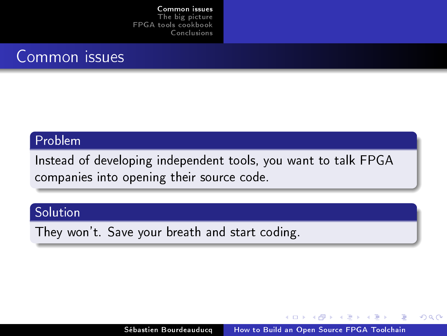## Common issues

#### Problem

Instead of developing independent tools, you want to talk FPGA companies into opening their source code.

## Solution

They won't. Save your breath and start coding.

イロメ イ母メ イヨメ イヨ

 $QQ$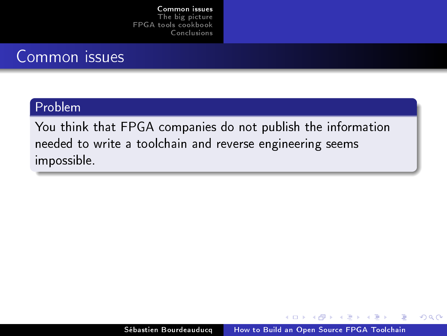## Common issues

### Problem

You think that FPGA companies do not publish the information needed to write a toolchain and reverse engineering seems impossible.

and the first

化重变 化重

 $2990$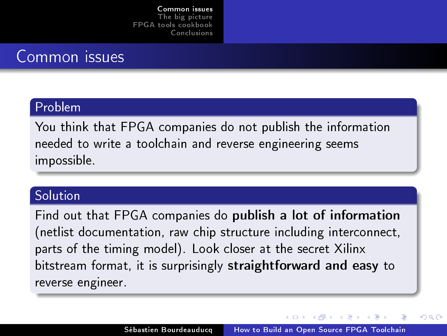## Common issues

### Problem

You think that FPGA companies do not publish the information needed to write a toolchain and reverse engineering seems impossible.

#### Solution

Find out that FPGA companies do publish a lot of information (netlist documentation, raw chip structure including interconnect, parts of the timing model). Look closer at the secret Xilinx bitstream format, it is surprisingly straightforward and easy to reverse engineer.

つくい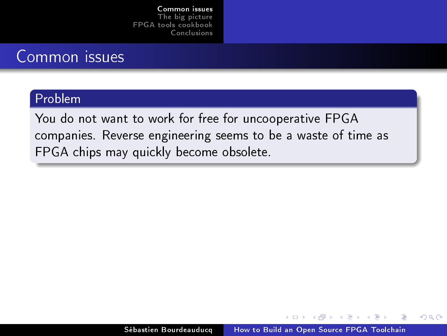## Common issues

### Problem

You do not want to work for free for uncooperative FPGA companies. Reverse engineering seems to be a waste of time as FPGA chips may quickly become obsolete.

and and

医阿里氏阿里

 $2990$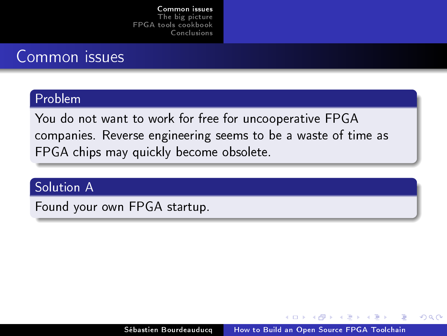## Common issues

### Problem

You do not want to work for free for uncooperative FPGA companies. Reverse engineering seems to be a waste of time as FPGA chips may quickly become obsolete.

## Solution A

Found your own FPGA startup.

イロメ イ母メ イヨメ イヨ

 $QQ$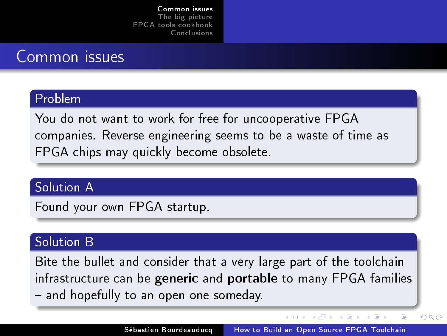# Common issues

### Problem

You do not want to work for free for uncooperative FPGA companies. Reverse engineering seems to be a waste of time as FPGA chips may quickly become obsolete.

## Solution A

Found your own FPGA startup.

### Solution B

Bite the bullet and consider that a very large part of the toolchain infrastructure can be generic and portable to many FPGA families - and hopefully to an open one someday.

イロメ イ母メ イヨメ イヨメ

÷,

 $QQ$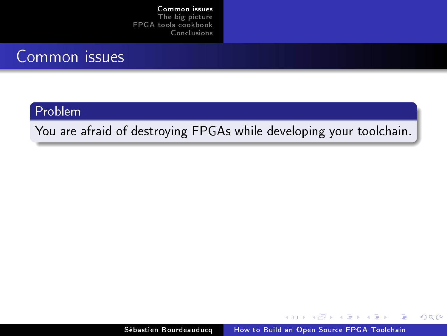## Common issues

#### Problem

You are afraid of destroying FPGAs while developing your toolchain.

4 0 8  $\overline{A}$  E

医阿里氏阿里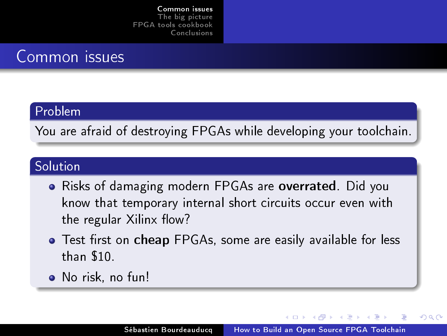## Common issues

#### Problem

You are afraid of destroying FPGAs while developing your toolchain.

### Solution

- Risks of damaging modern FPGAs are overrated. Did you know that temporary internal short circuits occur even with the regular Xilinx flow?
- Test first on cheap FPGAs, some are easily available for less than \$10.
- No risk, no fun!

a miller

つくい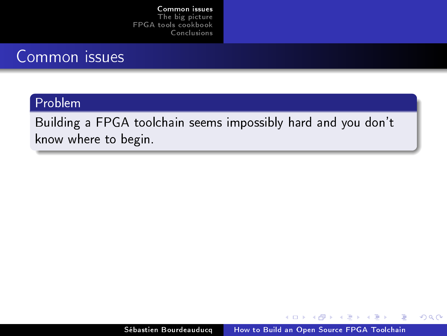## Common issues

### Problem

Building a FPGA toolchain seems impossibly hard and you don't know where to begin.

E

K ロ ▶ K 何 ▶ K ヨ ▶ K ヨ ▶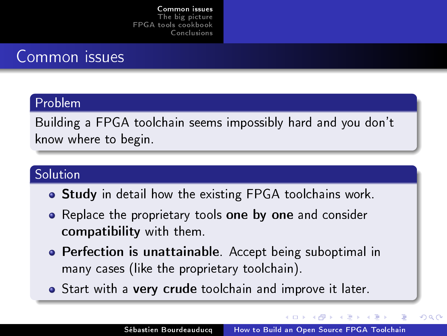## Common issues

### Problem

Building a FPGA toolchain seems impossibly hard and you don't know where to begin.

### Solution

- **Study** in detail how the existing FPGA toolchains work.
- Replace the proprietary tools one by one and consider compatibility with them.
- **Perfection is unattainable**. Accept being suboptimal in many cases (like the proprietary toolchain).
- Start with a very crude toolchain and improve it later.

**←ロ ▶ → 何 ▶ → ヨ ▶ →** 

 $QQ$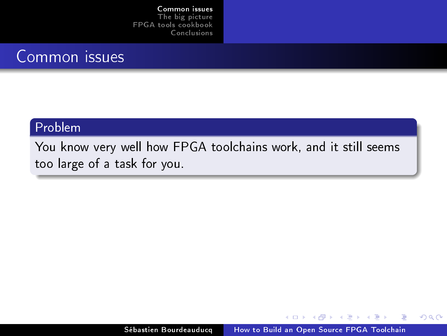## Common issues

## Problem

You know very well how FPGA toolchains work, and it still seems too large of a task for you.

a mills

有  $\sim$  化重变 化重

E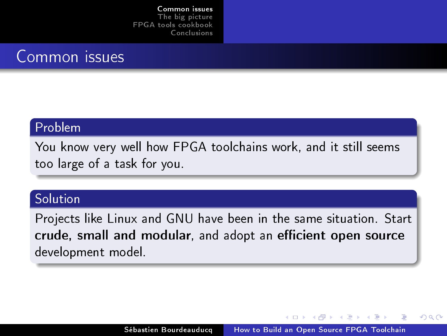## Common issues

#### Problem

You know very well how FPGA toolchains work, and it still seems too large of a task for you.

### **Solution**

Projects like Linux and GNU have been in the same situation. Start crude, small and modular, and adopt an efficient open source development model.

 $-10<sup>-10</sup>$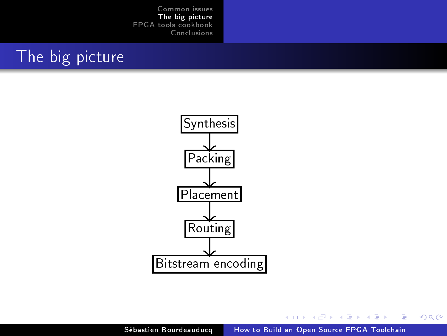# The big picture



**K ロ ト K 伺 ト K ヨ ト K ヨ** 

<span id="page-14-0"></span>Ε

**D**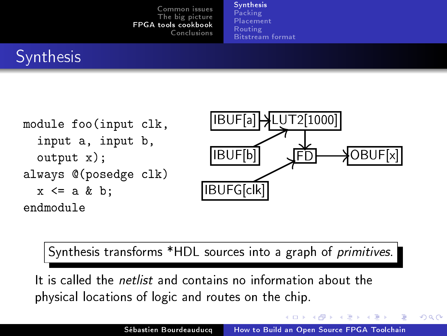[Synthesis](#page-15-0) [Packing](#page-17-0) [Placement](#page-20-0) [Routing](#page-24-0) [Bitstream format](#page-27-0)

# **Synthesis**



Synthesis transforms \*HDL sources into a graph of primitives.

It is called the netlist and contains no information about the physical locations of logic and routes on the chip.

 $\left($  n  $\right)$   $\left($   $\mathbb{R}^{n}$   $\right)$ 

化重复 化重变

<span id="page-15-0"></span> $QQ$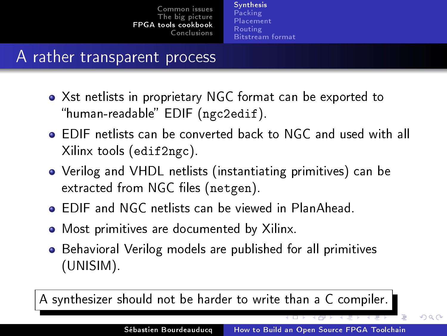[Synthesis](#page-15-0) [Packing](#page-17-0) [Placement](#page-20-0) [Routing](#page-24-0) [Bitstream format](#page-27-0)

## A rather transparent process

- Xst netlists in proprietary NGC format can be exported to "human-readable" EDIF (ngc2edif).
- EDIF netlists can be converted back to NGC and used with all Xilinx tools (edif2ngc).
- Verilog and VHDL netlists (instantiating primitives) can be extracted from NGC files (netgen).
- EDIF and NGC netlists can be viewed in PlanAhead.
- Most primitives are documented by Xilinx.
- Behavioral Verilog models are published for all primitives (UNISIM).

A synthesizer should not be harder to write than a C compiler.

つくい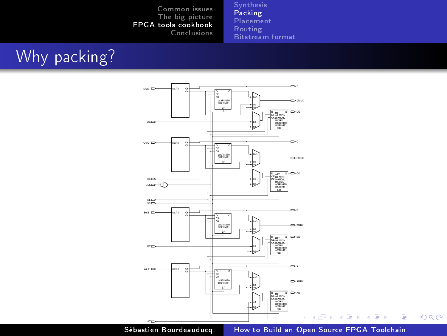[Synthesis](#page-15-0) [Packing](#page-17-0) [Placement](#page-20-0) [Routing](#page-24-0) [Bitstream format](#page-27-0)

# Why packing?



Sébastien Bourdeauducq | [How to Build an Open Source FPGA Toolchain](#page-0-0)

<span id="page-17-0"></span>重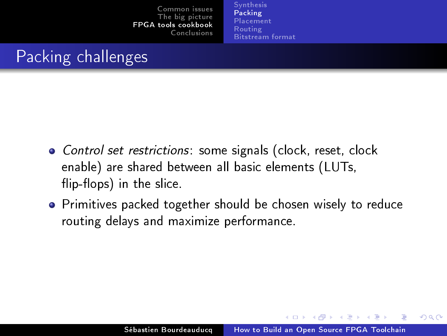[Synthesis](#page-15-0) [Packing](#page-17-0) [Placement](#page-20-0) [Routing](#page-24-0) [Bitstream format](#page-27-0)

# Packing challenges

- Control set restrictions: some signals (clock, reset, clock enable) are shared between all basic elements (LUTs,  $flip$ -flops) in the slice.
- **•** Primitives packed together should be chosen wisely to reduce routing delays and maximize performance.

K ロ ▶ K 何 ▶ K ヨ ▶ K ヨ ▶

 $\Omega$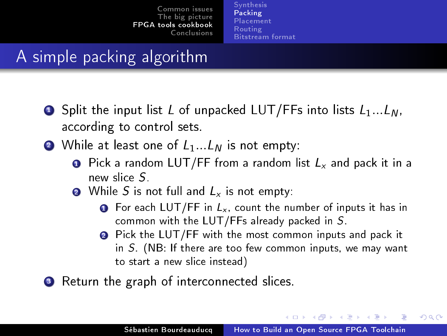[Synthesis](#page-15-0) [Packing](#page-17-0) [Placement](#page-20-0) [Routing](#page-24-0) [Bitstream format](#page-27-0)

# A simple packing algorithm

- **E** Split the input list L of unpacked LUT/FFs into lists  $L_1...L_N$ , according to control sets.
- **2** While at least one of  $L_1...L_N$  is not empty:
	- **O** Pick a random LUT/FF from a random list  $L<sub>x</sub>$  and pack it in a new slice S.
	- **2** While S is not full and  $L_x$  is not empty:
		- **O** For each LUT/FF in  $L_x$ , count the number of inputs it has in common with the LUT/FFs already packed in S.
		- **2** Pick the LUT/FF with the most common inputs and pack it in S. (NB: If there are too few common inputs, we may want to start a new slice instead)
- **3** Return the graph of interconnected slices.

イロメ イ母メ イヨメ イヨメ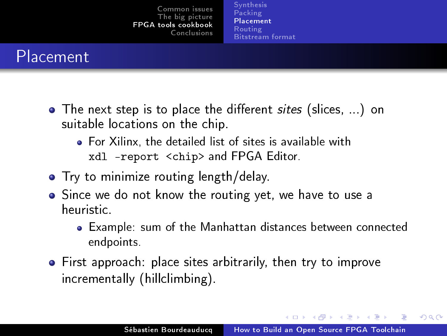[Synthesis](#page-15-0) [Packing](#page-17-0) [Placement](#page-20-0) [Routing](#page-24-0) [Bitstream format](#page-27-0)

# Placement

- The next step is to place the different *sites* (slices, ...) on suitable locations on the chip.
	- For Xilinx, the detailed list of sites is available with xdl -report <chip> and FPGA Editor.
- **•** Try to minimize routing length/delay.
- Since we do not know the routing yet, we have to use a heuristic.
	- Example: sum of the Manhattan distances between connected endpoints.
- First approach: place sites arbitrarily, then try to improve incrementally (hillclimbing).

イロメ イ母メ イヨメ イヨメー

<span id="page-20-0"></span> $\Omega$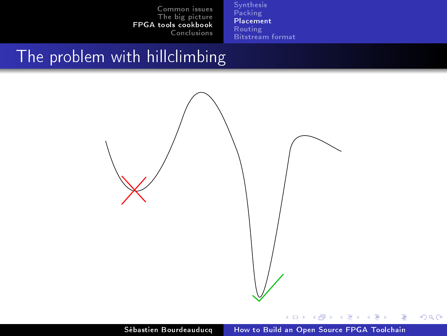[Synthesis](#page-15-0) [Packing](#page-17-0) [Placement](#page-20-0) [Routing](#page-24-0) [Bitstream format](#page-27-0)

# The problem with hillclimbing



E

э

×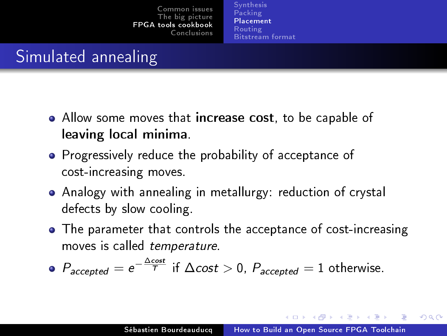[Synthesis](#page-15-0) [Packing](#page-17-0) [Placement](#page-20-0) [Routing](#page-24-0) [Bitstream format](#page-27-0)

# Simulated annealing

- Allow some moves that increase cost, to be capable of leaving local minima.
- **•** Progressively reduce the probability of acceptance of cost-increasing moves.
- Analogy with annealing in metallurgy: reduction of crystal defects by slow cooling.
- The parameter that controls the acceptance of cost-increasing moves is called temperature.

• 
$$
P_{accepted} = e^{-\frac{\Delta cost}{T}}
$$
 if  $\Delta cost > 0$ ,  $P_{accepted} = 1$  otherwise.

K ロ ▶ K 何 ▶ K ヨ ▶ K ヨ ▶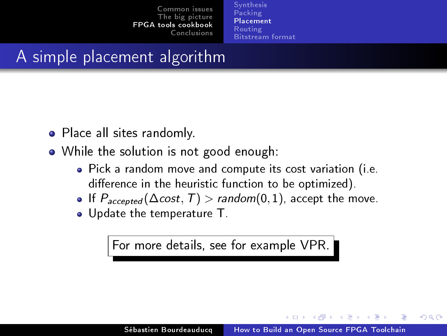[Synthesis](#page-15-0) [Packing](#page-17-0) [Placement](#page-20-0) [Routing](#page-24-0) [Bitstream format](#page-27-0)

# A simple placement algorithm

- Place all sites randomly.
- While the solution is not good enough:
	- Pick a random move and compute its cost variation (i.e. difference in the heuristic function to be optimized).
	- If  $P_{accepted}(\Delta cost, T) > random(0, 1)$ , accept the move.
	- Update the temperature T.

For more details, see for example VPR.

イロメ イ母メ イヨメ イヨ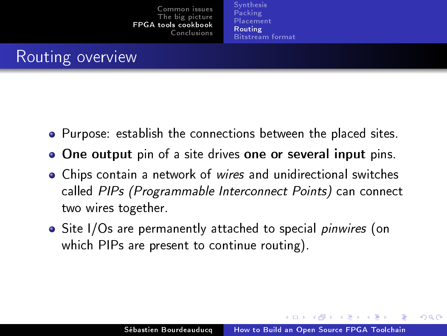[Synthesis](#page-15-0) [Packing](#page-17-0) [Placement](#page-20-0) [Routing](#page-24-0) [Bitstream format](#page-27-0)

# Routing overview

- Purpose: establish the connections between the placed sites.
- **One output** pin of a site drives one or several input pins.
- Chips contain a network of wires and unidirectional switches called PIPs (Programmable Interconnect Points) can connect two wires together.
- Site I/Os are permanently attached to special *pinwires* (on which PIPs are present to continue routing).

K ロ ▶ K 何 ▶ K 手 ▶ K 手 ▶

<span id="page-24-0"></span> $\Omega$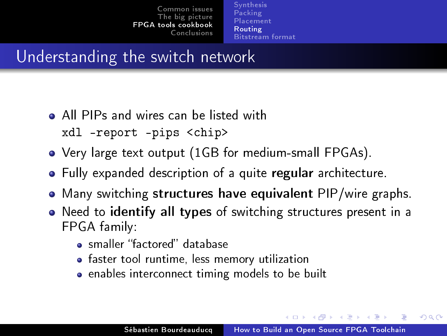[Synthesis](#page-15-0) [Packing](#page-17-0) [Placement](#page-20-0) [Routing](#page-24-0) [Bitstream format](#page-27-0)

## Understanding the switch network

- All PIPs and wires can be listed with xdl -report -pips <chip>
- Very large text output (1GB for medium-small FPGAs).
- Fully expanded description of a quite regular architecture.
- Many switching structures have equivalent PIP/wire graphs.
- Need to identify all types of switching structures present in a FPGA family:
	- smaller "factored" database
	- faster tool runtime, less memory utilization
	- enables interconnect timing models to be built

∢ロト ∢母ト ∢ヨト ∢ヨト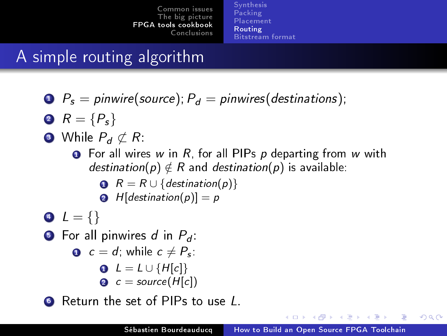[Synthesis](#page-15-0) [Packing](#page-17-0) [Placement](#page-20-0) [Routing](#page-24-0) [Bitstream format](#page-27-0)

# A simple routing algorithm

- $\bullet$   $P_s =$  pinwire(source);  $P_d =$  pinwires(destinations);
- $R = {P_s}$
- **3** While  $P_d \not\subset R$ :
	- **O** For all wires w in R, for all PIPs p departing from w with destination(p)  $\notin$  R and destination(p) is available:

$$
\bullet \ \ R = R \cup \{ \text{destination}(p) \}
$$

$$
H[destination(p)] = p
$$

$$
\bullet \ \ L = \{\}
$$

**•** For all pinwires d in  $P_d$ :

$$
\bullet \ \ c = d, \text{ while } c \neq P_s.
$$

$$
\bullet \ \ L = L \cup \{H[c]\}
$$

**2**  $c = source(H[c])$ 

**6** Return the set of PIPs to use L.

and and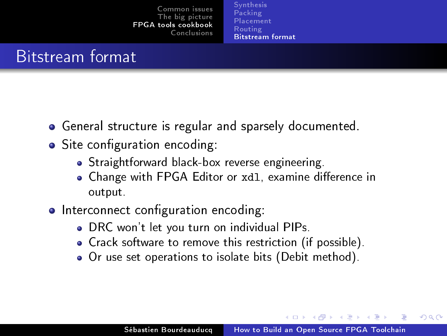[Synthesis](#page-15-0) [Packing](#page-17-0) [Placement](#page-20-0) [Routing](#page-24-0) [Bitstream format](#page-27-0)

## Bitstream format

- General structure is regular and sparsely documented.
- Site configuration encoding:
	- Straightforward black-box reverse engineering.
	- . Change with FPGA Editor or xd1, examine difference in output.
- Interconnect configuration encoding:
	- DRC won't let you turn on individual PIPs.
	- Crack software to remove this restriction (if possible).
	- Or use set operations to isolate bits (Debit method).

<span id="page-27-0"></span>∢ ロ ▶ 〈 何 ▶ 〈 后 ▶ 〈 后 ▶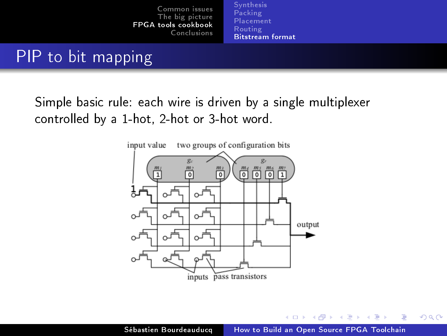[Synthesis](#page-15-0) [Placement](#page-20-0) [Routing](#page-24-0) [Bitstream format](#page-27-0)

# PIP to bit mapping

Simple basic rule: each wire is driven by a single multiplexer controlled by a 1-hot, 2-hot or 3-hot word.



K ロ ▶ K 何 ▶ K ヨ ▶ K ヨ ▶

 $QQ$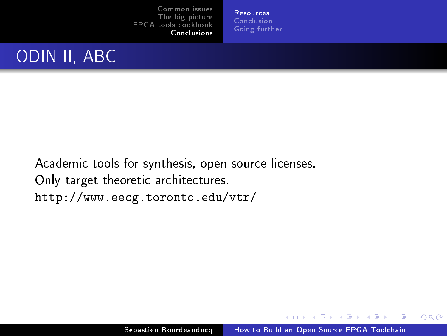**[Resources](#page-29-0)** [Conclusion](#page-35-0) [Going further](#page-36-0)

## ODIN II, ABC

Academic tools for synthesis, open source licenses. Only target theoretic architectures. <http://www.eecg.toronto.edu/vtr/>

K ロ ▶ K 何 ▶ K ヨ ▶ K ヨ ▶

<span id="page-29-0"></span> $QQ$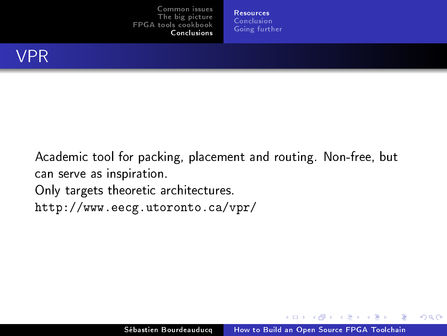**[Resources](#page-29-0)** [Conclusion](#page-35-0) [Going further](#page-36-0)

Academic tool for packing, placement and routing. Non-free, but can serve as inspiration.

Only targets theoretic architectures.

<http://www.eecg.utoronto.ca/vpr/>

K ロ ▶ K 何 ▶ K ヨ ▶ K ヨ ▶

 $2990$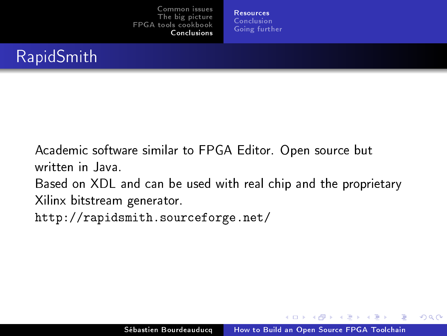[Resources](#page-29-0) [Conclusion](#page-35-0) [Going further](#page-36-0)

Academic software similar to FPGA Editor. Open source but written in Java.

Based on XDL and can be used with real chip and the proprietary Xilinx bitstream generator.

<http://rapidsmith.sourceforge.net/>

K ロ ▶ K 何 ▶ K 手 ▶ K 手 ▶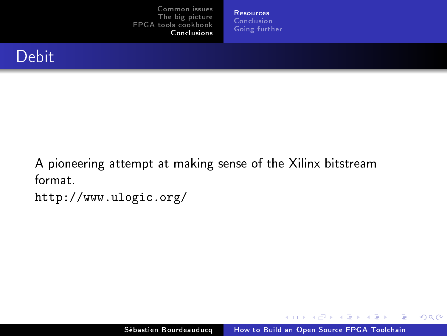[Resources](#page-29-0) [Conclusion](#page-35-0) [Going further](#page-36-0)



A pioneering attempt at making sense of the Xilinx bitstream format.

<http://www.ulogic.org/>

E

K ロ ▶ K 何 ▶ K ヨ ▶ K ヨ ▶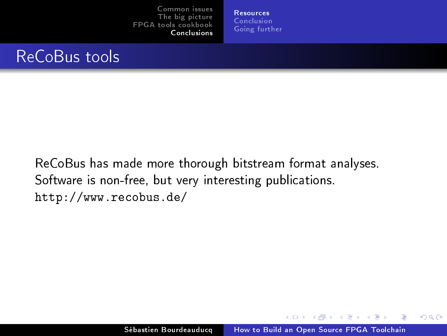[Resources](#page-29-0) [Conclusion](#page-35-0) [Going further](#page-36-0)

ReCoBus has made more thorough bitstream format analyses. Software is non-free, but very interesting publications. <http://www.recobus.de/>

K ロ ▶ K 何 ▶ K ヨ ▶ K ヨ ▶

 $2990$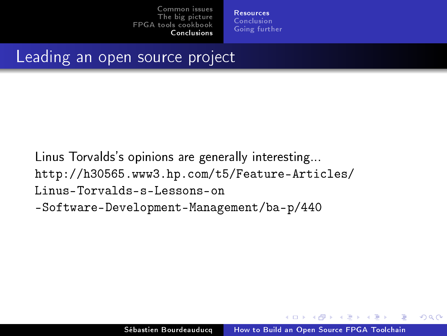[Resources](#page-29-0) [Conclusion](#page-35-0) [Going further](#page-36-0)

# Leading an open source project

Linus Torvalds's opinions are generally interesting... [http://h30565.www3.hp.com/t5/Feature-Articles/](http://h30565.www3.hp.com/t5/Feature-Articles/Linus-Torvalds-s-Lessons-on) [Linus-Torvalds-s-Lessons-on](http://h30565.www3.hp.com/t5/Feature-Articles/Linus-Torvalds-s-Lessons-on) <-Software-Development-Management/ba-p/440>

a militar

**ACCESSOR** 

 $\Omega$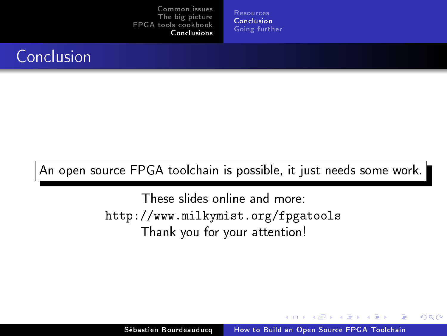[Resources](#page-29-0) [Conclusion](#page-35-0) [Going further](#page-36-0)

# Conclusion

## An open source FPGA toolchain is possible, it just needs some work.

These slides online and more: <http://www.milkymist.org/fpgatools> Thank you for your attention!

and and

<span id="page-35-0"></span>す 何 トーイ ヨート コイ ヨート